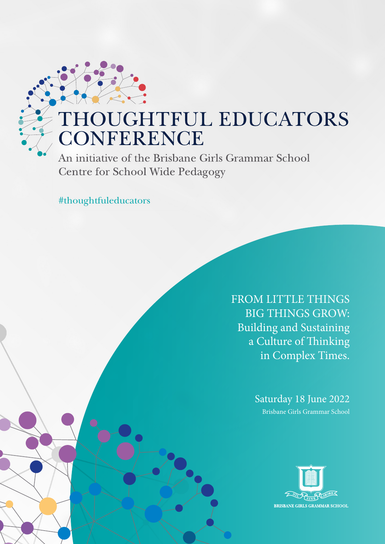## THOUGHTFUL EDUCATORS **CONFERENCE**

An initiative of the Brisbane Girls Grammar School **Centre for School Wide Pedagogy** 

#thoughtfuleducators

FROM LITTLE THINGS BIG THINGS GROW: Building and Sustaining a Culture of Thinking in Complex Times.

> Saturday 18 June 2022 Brisbane Girls Grammar School

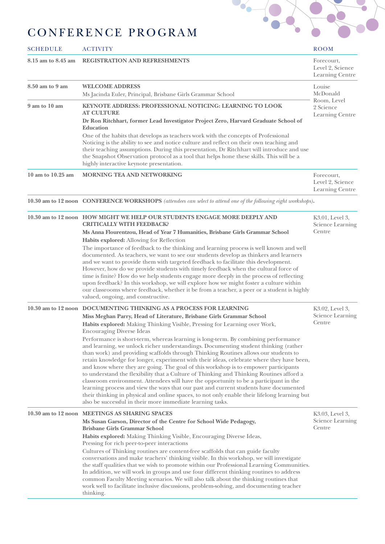

## CONFERENCE PROGRAM

| <b>SCHEDULE</b>    | <b>ACTIVITY</b>                                                                                                                                                                                                                                                                                                                                                                                                                                                                                                                                                                                                                                                                                                                                                                                                                                                                                                                                                                                                                                                                                                                                                 | <b>ROOM</b>                                                       |
|--------------------|-----------------------------------------------------------------------------------------------------------------------------------------------------------------------------------------------------------------------------------------------------------------------------------------------------------------------------------------------------------------------------------------------------------------------------------------------------------------------------------------------------------------------------------------------------------------------------------------------------------------------------------------------------------------------------------------------------------------------------------------------------------------------------------------------------------------------------------------------------------------------------------------------------------------------------------------------------------------------------------------------------------------------------------------------------------------------------------------------------------------------------------------------------------------|-------------------------------------------------------------------|
| 8.15 am to 8.45 am | REGISTRATION AND REFRESHMENTS                                                                                                                                                                                                                                                                                                                                                                                                                                                                                                                                                                                                                                                                                                                                                                                                                                                                                                                                                                                                                                                                                                                                   | Forecourt,<br>Level 2, Science<br>Learning Centre                 |
| 8.50 am to 9 am    | <b>WELCOME ADDRESS</b><br>Ms Jacinda Euler, Principal, Brisbane Girls Grammar School                                                                                                                                                                                                                                                                                                                                                                                                                                                                                                                                                                                                                                                                                                                                                                                                                                                                                                                                                                                                                                                                            | Louise<br>McDonald<br>Room, Level<br>2 Science<br>Learning Centre |
| 9 am to 10 am      | <b>KEYNOTE ADDRESS: PROFESSIONAL NOTICING: LEARNING TO LOOK</b><br><b>AT CULTURE</b><br>Dr Ron Ritchhart, former Lead Investigator Project Zero, Harvard Graduate School of<br>Education                                                                                                                                                                                                                                                                                                                                                                                                                                                                                                                                                                                                                                                                                                                                                                                                                                                                                                                                                                        |                                                                   |
|                    | One of the habits that develops as teachers work with the concepts of Professional<br>Noticing is the ability to see and notice culture and reflect on their own teaching and<br>their teaching assumptions. During this presentation, Dr Ritchhart will introduce and use<br>the Snapshot Observation protocol as a tool that helps hone these skills. This will be a<br>highly interactive keynote presentation.                                                                                                                                                                                                                                                                                                                                                                                                                                                                                                                                                                                                                                                                                                                                              |                                                                   |
| 10 am to 10.25 am  | MORNING TEA AND NETWORKING                                                                                                                                                                                                                                                                                                                                                                                                                                                                                                                                                                                                                                                                                                                                                                                                                                                                                                                                                                                                                                                                                                                                      | Forecourt,<br>Level 2, Science<br>Learning Centre                 |
|                    | 10.30 am to 12 noon CONFERENCE WORKSHOPS (attendees can select to attend one of the following eight workshops).                                                                                                                                                                                                                                                                                                                                                                                                                                                                                                                                                                                                                                                                                                                                                                                                                                                                                                                                                                                                                                                 |                                                                   |
|                    | 10.30 am to 12 noon HOW MIGHT WE HELP OUR STUDENTS ENGAGE MORE DEEPLY AND<br><b>CRITICALLY WITH FEEDBACK?</b>                                                                                                                                                                                                                                                                                                                                                                                                                                                                                                                                                                                                                                                                                                                                                                                                                                                                                                                                                                                                                                                   | K3.01, Level 3,<br><b>Science Learning</b>                        |
|                    | Ms Anna Flourentzou, Head of Year 7 Humanities, Brisbane Girls Grammar School<br>Habits explored: Allowing for Reflection<br>The importance of feedback to the thinking and learning process is well known and well<br>documented. As teachers, we want to see our students develop as thinkers and learners<br>and we want to provide them with targeted feedback to facilitate this development.<br>However, how do we provide students with timely feedback when the cultural force of<br>time is finite? How do we help students engage more deeply in the process of reflecting<br>upon feedback? In this workshop, we will explore how we might foster a culture within<br>our classrooms where feedback, whether it be from a teacher, a peer or a student is highly<br>valued, ongoing, and constructive.                                                                                                                                                                                                                                                                                                                                               | Centre                                                            |
|                    | 10.30 am to 12 noon DOCUMENTING THINKING AS A PROCESS FOR LEARNING<br>Miss Meghan Parry, Head of Literature, Brisbane Girls Grammar School<br>Habits explored: Making Thinking Visible, Pressing for Learning over Work,<br><b>Encouraging Diverse Ideas</b><br>Performance is short-term, whereas learning is long-term. By combining performance<br>and learning, we unlock richer understandings. Documenting student thinking (rather<br>than work) and providing scaffolds through Thinking Routines allows our students to<br>retain knowledge for longer, experiment with their ideas, celebrate where they have been,<br>and know where they are going. The goal of this workshop is to empower participants<br>to understand the flexibility that a Culture of Thinking and Thinking Routines afford a<br>classroom environment. Attendees will have the opportunity to be a participant in the<br>learning process and view the ways that our past and current students have documented<br>their thinking in physical and online spaces, to not only enable their lifelong learning but<br>also be successful in their more immediate learning tasks. | K3.02, Level 3,<br><b>Science Learning</b><br>Centre              |
|                    | 10.30 am to 12 noon MEETINGS AS SHARING SPACES<br>Ms Susan Garson, Director of the Centre for School Wide Pedagogy,<br><b>Brisbane Girls Grammar School</b><br>Habits explored: Making Thinking Visible, Encouraging Diverse Ideas,<br>Pressing for rich peer-to-peer interactions<br>Cultures of Thinking routines are content-free scaffolds that can guide faculty<br>conversations and make teachers' thinking visible. In this workshop, we will investigate<br>the staff qualities that we wish to promote within our Professional Learning Communities.<br>In addition, we will work in groups and use four different thinking routines to address<br>common Faculty Meeting scenarios. We will also talk about the thinking routines that<br>work well to facilitate inclusive discussions, problem-solving, and documenting teacher<br>thinking.                                                                                                                                                                                                                                                                                                       | K3.03, Level 3,<br><b>Science Learning</b><br>Centre              |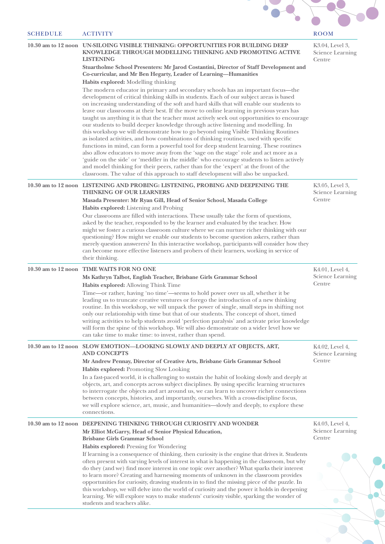| <b>ACTIVITY</b>                                                                                                                                                                                                                                                                                                                                                                                                                                                                                                                                                                                                                                                                                                                                                                                                                                                                                                                                                                                                                                                                                                                                                                                                                         | <b>ROOM</b>                                                                                                |
|-----------------------------------------------------------------------------------------------------------------------------------------------------------------------------------------------------------------------------------------------------------------------------------------------------------------------------------------------------------------------------------------------------------------------------------------------------------------------------------------------------------------------------------------------------------------------------------------------------------------------------------------------------------------------------------------------------------------------------------------------------------------------------------------------------------------------------------------------------------------------------------------------------------------------------------------------------------------------------------------------------------------------------------------------------------------------------------------------------------------------------------------------------------------------------------------------------------------------------------------|------------------------------------------------------------------------------------------------------------|
| 10.30 am to 12 noon UN-SILOING VISIBLE THINKING: OPPORTUNITIES FOR BUILDING DEEP<br>KNOWLEDGE THROUGH MODELLING THINKING AND PROMOTING ACTIVE<br><b>LISTENING</b><br>Stuartholme School Presenters: Mr Jarod Costantini, Director of Staff Development and                                                                                                                                                                                                                                                                                                                                                                                                                                                                                                                                                                                                                                                                                                                                                                                                                                                                                                                                                                              | K3.04, Level 3,<br><b>Science Learning</b><br>Centre                                                       |
| Habits explored: Modelling thinking<br>The modern educator in primary and secondary schools has an important focus-the<br>development of critical thinking skills in students. Each of our subject areas is based<br>on increasing understanding of the soft and hard skills that will enable our students to<br>leave our classrooms at their best. If the move to online learning in previous years has<br>taught us anything it is that the teacher must actively seek out opportunities to encourage<br>our students to build deeper knowledge through active listening and modelling. In<br>this workshop we will demonstrate how to go beyond using Visible Thinking Routines<br>as isolated activities, and how combinations of thinking routines, used with specific<br>functions in mind, can form a powerful tool for deep student learning. These routines<br>also allow educators to move away from the 'sage on the stage' role and act more as a<br>'guide on the side' or 'meddler in the middle' who encourage students to listen actively<br>and model thinking for their peers, rather than for the 'expert' at the front of the<br>classroom. The value of this approach to staff development will also be unpacked. |                                                                                                            |
| 10.30 am to 12 noon LISTENING AND PROBING: LISTENING, PROBING AND DEEPENING THE<br><b>THINKING OF OUR LEARNERS</b><br>Masada Presenter: Mr Ryan Gill, Head of Senior School, Masada College                                                                                                                                                                                                                                                                                                                                                                                                                                                                                                                                                                                                                                                                                                                                                                                                                                                                                                                                                                                                                                             | K3.05, Level 3,<br><b>Science Learning</b><br>Centre                                                       |
| Our classrooms are filled with interactions. These usually take the form of questions,<br>asked by the teacher, responded to by the learner and evaluated by the teacher. How<br>might we foster a curious classroom culture where we can nurture richer thinking with our<br>questioning? How might we enable our students to become question askers, rather than<br>merely question answerers? In this interactive workshop, participants will consider how they<br>can become more effective listeners and probers of their learners, working in service of<br>their thinking.                                                                                                                                                                                                                                                                                                                                                                                                                                                                                                                                                                                                                                                       |                                                                                                            |
| 10.30 am to 12 noon TIME WAITS FOR NO ONE<br>Ms Kathryn Talbot, English Teacher, Brisbane Girls Grammar School<br>Habits explored: Allowing Think Time<br>Time—or rather, having 'no time'—seems to hold power over us all, whether it be<br>leading us to truncate creative ventures or forego the introduction of a new thinking<br>routine. In this workshop, we will unpack the power of single, small steps in shifting not<br>only our relationship with time but that of our students. The concept of short, timed<br>writing activities to help students avoid 'perfection paralysis' and activate prior knowledge<br>will form the spine of this workshop. We will also demonstrate on a wider level how we<br>can take time to make time: to invest, rather than spend.                                                                                                                                                                                                                                                                                                                                                                                                                                                       | K4.01, Level 4,<br><b>Science Learning</b><br>Centre                                                       |
| 10.30 am to 12 noon SLOW EMOTION-LOOKING SLOWLY AND DEEPLY AT OBJECTS, ART,<br><b>AND CONCEPTS</b><br>Mr Andrew Pennay, Director of Creative Arts, Brisbane Girls Grammar School<br>Habits explored: Promoting Slow Looking<br>In a fast-paced world, it is challenging to sustain the habit of looking slowly and deeply at<br>objects, art, and concepts across subject disciplines. By using specific learning structures<br>to interrogate the objects and art around us, we can learn to uncover richer connections<br>between concepts, histories, and importantly, ourselves. With a cross-discipline focus,<br>we will explore science, art, music, and humanities—slowly and deeply, to explore these<br>connections.                                                                                                                                                                                                                                                                                                                                                                                                                                                                                                          | K4.02, Level 4,<br><b>Science Learning</b><br>Centre                                                       |
| 10.30 am to 12 noon DEEPENING THINKING THROUGH CURIOSITY AND WONDER<br>Mr Elliot McGarry, Head of Senior Physical Education,<br><b>Brisbane Girls Grammar School</b><br>Habits explored: Pressing for Wondering<br>If learning is a consequence of thinking, then curiosity is the engine that drives it. Students<br>often present with varying levels of interest in what is happening in the classroom, but why<br>do they (and we) find more interest in one topic over another? What sparks their interest<br>to learn more? Creating and harnessing moments of unknown in the classroom provides<br>opportunities for curiosity, drawing students in to find the missing piece of the puzzle. In<br>this workshop, we will delve into the world of curiosity and the power it holds in deepening<br>learning. We will explore ways to make students' curiosity visible, sparking the wonder of<br>students and teachers alike.                                                                                                                                                                                                                                                                                                    | K4.03, Level 4,<br><b>Science Learning</b><br>Centre                                                       |
|                                                                                                                                                                                                                                                                                                                                                                                                                                                                                                                                                                                                                                                                                                                                                                                                                                                                                                                                                                                                                                                                                                                                                                                                                                         | Co-curricular, and Mr Ben Hegarty, Leader of Learning-Humanities<br>Habits explored: Listening and Probing |

 $\bigcirc$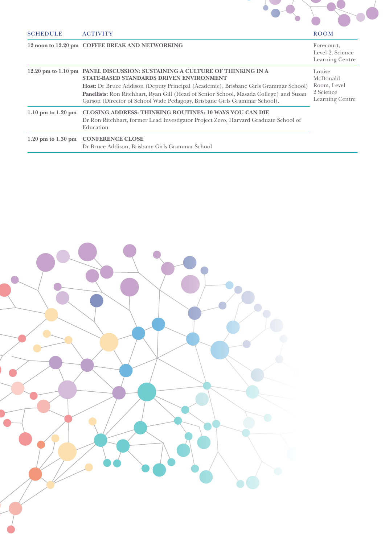

SCHEDULE ACTIVITY ROOM

## **12 noon to 12.20 pm COFFEE BREAK AND NETWORKING**

Level 2, Science

|                        |                                                                                                                                                                                                                                                                                                                                                                                       | Learning Centre                                                   |
|------------------------|---------------------------------------------------------------------------------------------------------------------------------------------------------------------------------------------------------------------------------------------------------------------------------------------------------------------------------------------------------------------------------------|-------------------------------------------------------------------|
|                        | 12.20 pm to 1.10 pm PANEL DISCUSSION: SUSTAINING A CULTURE OF THINKING IN A<br>STATE-BASED STANDARDS DRIVEN ENVIRONMENT<br>Host: Dr Bruce Addison (Deputy Principal (Academic), Brisbane Girls Grammar School)<br>Panellists: Ron Ritchhart, Ryan Gill (Head of Senior School, Masada College) and Susan<br>Garson (Director of School Wide Pedagogy, Brisbane Girls Grammar School). | Louise<br>McDonald<br>Room, Level<br>2 Science<br>Learning Centre |
| $1.10$ pm to $1.20$ pm | <b>CLOSING ADDRESS: THINKING ROUTINES: 10 WAYS YOU CAN DIE</b><br>Dr Ron Ritchhart, former Lead Investigator Project Zero, Harvard Graduate School of<br>Education                                                                                                                                                                                                                    |                                                                   |
| $1.20$ pm to $1.30$ pm | <b>CONFERENCE CLOSE</b><br>Dr Bruce Addison, Brisbane Girls Grammar School                                                                                                                                                                                                                                                                                                            |                                                                   |